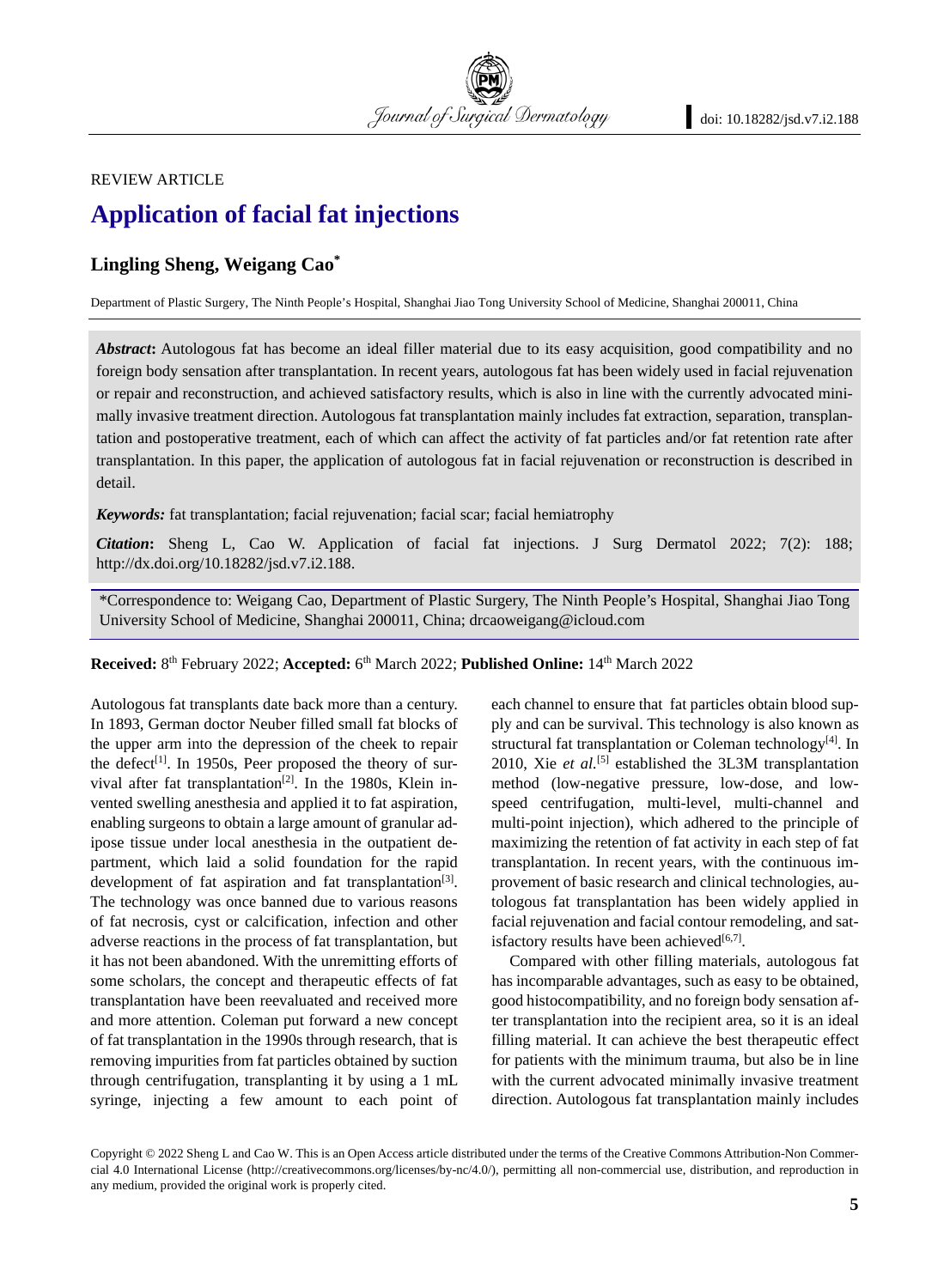REVIEW ARTICLE

# **Application of facial fat injections**

## **Lingling Sheng, Weigang Cao\***

Department of Plastic Surgery, The Ninth People's Hospital, Shanghai Jiao Tong University School of Medicine, Shanghai 200011, China

*Abstract***:** Autologous fat has become an ideal filler material due to its easy acquisition, good compatibility and no foreign body sensation after transplantation. In recent years, autologous fat has been widely used in facial rejuvenation or repair and reconstruction, and achieved satisfactory results, which is also in line with the currently advocated minimally invasive treatment direction. Autologous fat transplantation mainly includes fat extraction, separation, transplantation and postoperative treatment, each of which can affect the activity of fat particles and/or fat retention rate after transplantation. In this paper, the application of autologous fat in facial rejuvenation or reconstruction is described in detail.

Journal of Surgical Dermatology

*Keywords:* fat transplantation; facial rejuvenation; facial scar; facial hemiatrophy

*Citation***:** Sheng L, Cao W. Application of facial fat injections. J Surg Dermatol 2022; 7(2): 188; http://dx.doi.org/10.18282/jsd.v7.i2.188.

\*Correspondence to: Weigang Cao, Department of Plastic Surgery, The Ninth People's Hospital, Shanghai Jiao Tong University School of Medicine, Shanghai 200011, China; drcaoweigang@icloud.com

**Received:** 8th February 2022; **Accepted:** 6th March 2022; **Published Online:** 14th March 2022

Autologous fat transplants date back more than a century. In 1893, German doctor Neuber filled small fat blocks of the upper arm into the depression of the cheek to repair the defect<sup>[1]</sup>. In 1950s, Peer proposed the theory of survival after fat transplantation<sup>[2]</sup>. In the 1980s, Klein invented swelling anesthesia and applied it to fat aspiration, enabling surgeons to obtain a large amount of granular adipose tissue under local anesthesia in the outpatient department, which laid a solid foundation for the rapid development of fat aspiration and fat transplantation<sup>[3]</sup>. The technology was once banned due to various reasons of fat necrosis, cyst or calcification, infection and other adverse reactions in the process of fat transplantation, but it has not been abandoned. With the unremitting efforts of some scholars, the concept and therapeutic effects of fat transplantation have been reevaluated and received more and more attention. Coleman put forward a new concept of fat transplantation in the 1990s through research, that is removing impurities from fat particles obtained by suction through centrifugation, transplanting it by using a 1 mL syringe, injecting a few amount to each point of each channel to ensure that fat particles obtain blood supply and can be survival. This technology is also known as structural fat transplantation or Coleman technology<sup>[4]</sup>. In 2010, Xie et al.<sup>[5]</sup> established the 3L3M transplantation method (low-negative pressure, low-dose, and lowspeed centrifugation, multi-level, multi-channel and multi-point injection), which adhered to the principle of maximizing the retention of fat activity in each step of fat transplantation. In recent years, with the continuous improvement of basic research and clinical technologies, autologous fat transplantation has been widely applied in facial rejuvenation and facial contour remodeling, and satisfactory results have been achieved $[6,7]$ .

Compared with other filling materials, autologous fat has incomparable advantages, such as easy to be obtained, good histocompatibility, and no foreign body sensation after transplantation into the recipient area, so it is an ideal filling material. It can achieve the best therapeutic effect for patients with the minimum trauma, but also be in line with the current advocated minimally invasive treatment direction. Autologous fat transplantation mainly includes

Copyright © 2022 Sheng L and Cao W. This is an Open Access article distributed under the terms of the Creative Commons Attribution-Non Commercial 4.0 International License (http://creativecommons.org/licenses/by-nc/4.0/), permitting all non-commercial use, distribution, and reproduction in any medium, provided the original work is properly cited.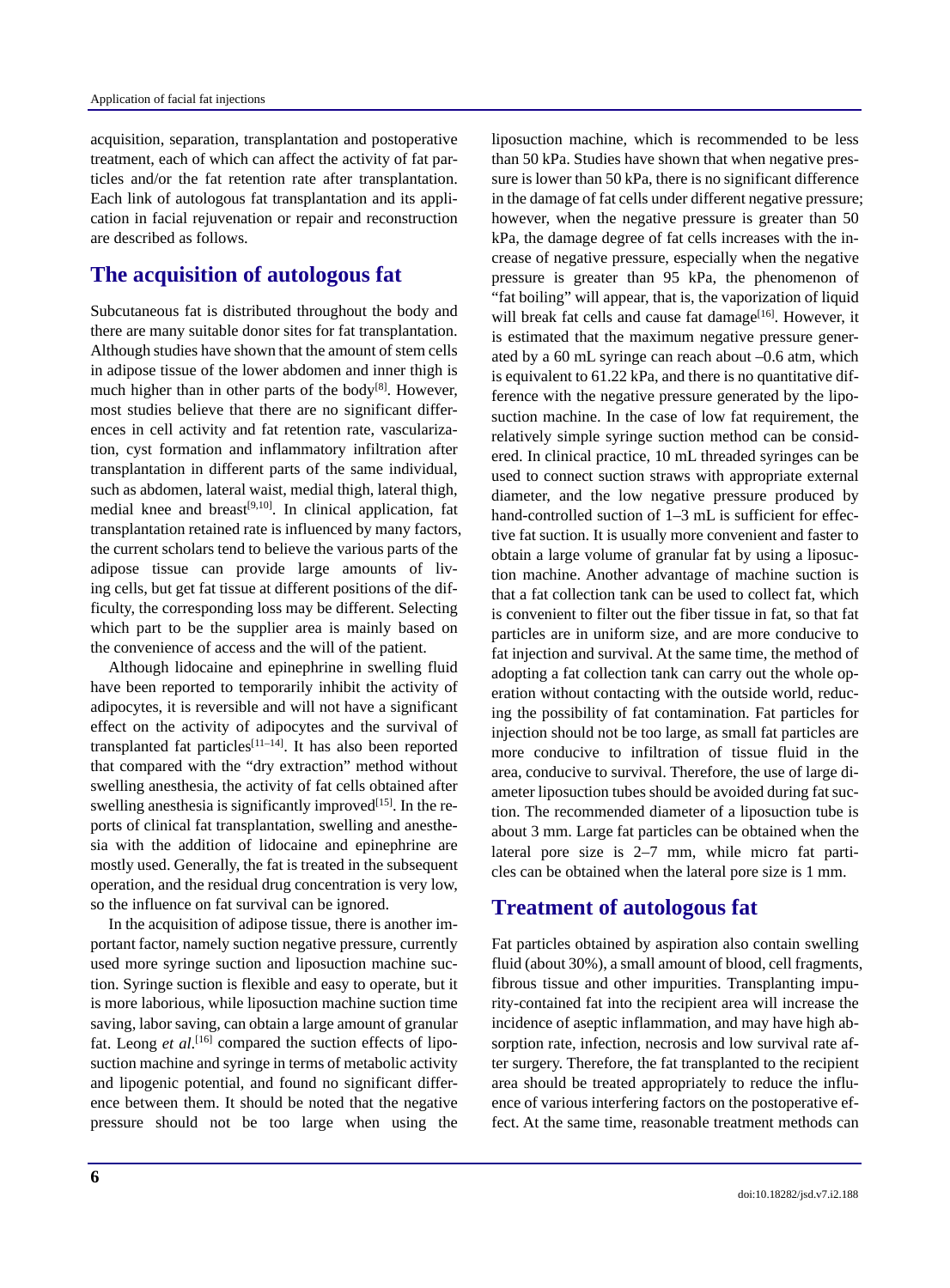acquisition, separation, transplantation and postoperative treatment, each of which can affect the activity of fat particles and/or the fat retention rate after transplantation. Each link of autologous fat transplantation and its application in facial rejuvenation or repair and reconstruction are described as follows.

## **The acquisition of autologous fat**

Subcutaneous fat is distributed throughout the body and there are many suitable donor sites for fat transplantation. Although studies have shown that the amount of stem cells in adipose tissue of the lower abdomen and inner thigh is much higher than in other parts of the body<sup>[8]</sup>. However, most studies believe that there are no significant differences in cell activity and fat retention rate, vascularization, cyst formation and inflammatory infiltration after transplantation in different parts of the same individual, such as abdomen, lateral waist, medial thigh, lateral thigh, medial knee and breast<sup>[9,10]</sup>. In clinical application, fat transplantation retained rate is influenced by many factors, the current scholars tend to believe the various parts of the adipose tissue can provide large amounts of living cells, but get fat tissue at different positions of the difficulty, the corresponding loss may be different. Selecting which part to be the supplier area is mainly based on the convenience of access and the will of the patient.

Although lidocaine and epinephrine in swelling fluid have been reported to temporarily inhibit the activity of adipocytes, it is reversible and will not have a significant effect on the activity of adipocytes and the survival of transplanted fat particles<sup>[11-14]</sup>. It has also been reported that compared with the "dry extraction" method without swelling anesthesia, the activity of fat cells obtained after swelling anesthesia is significantly improved  $[15]$ . In the reports of clinical fat transplantation, swelling and anesthesia with the addition of lidocaine and epinephrine are mostly used. Generally, the fat is treated in the subsequent operation, and the residual drug concentration is very low, so the influence on fat survival can be ignored.

In the acquisition of adipose tissue, there is another important factor, namely suction negative pressure, currently used more syringe suction and liposuction machine suction. Syringe suction is flexible and easy to operate, but it is more laborious, while liposuction machine suction time saving, labor saving, can obtain a large amount of granular fat. Leong *et al.*<sup>[16]</sup> compared the suction effects of liposuction machine and syringe in terms of metabolic activity and lipogenic potential, and found no significant difference between them. It should be noted that the negative pressure should not be too large when using the liposuction machine, which is recommended to be less than 50 kPa. Studies have shown that when negative pressure is lower than 50 kPa, there is no significant difference in the damage of fat cells under different negative pressure; however, when the negative pressure is greater than 50 kPa, the damage degree of fat cells increases with the increase of negative pressure, especially when the negative pressure is greater than 95 kPa, the phenomenon of "fat boiling" will appear, that is, the vaporization of liquid will break fat cells and cause fat damage<sup>[16]</sup>. However, it is estimated that the maximum negative pressure generated by a 60 mL syringe can reach about –0.6 atm, which is equivalent to 61.22 kPa, and there is no quantitative difference with the negative pressure generated by the liposuction machine. In the case of low fat requirement, the relatively simple syringe suction method can be considered. In clinical practice, 10 mL threaded syringes can be used to connect suction straws with appropriate external diameter, and the low negative pressure produced by hand-controlled suction of 1–3 mL is sufficient for effective fat suction. It is usually more convenient and faster to obtain a large volume of granular fat by using a liposuction machine. Another advantage of machine suction is that a fat collection tank can be used to collect fat, which is convenient to filter out the fiber tissue in fat, so that fat particles are in uniform size, and are more conducive to fat injection and survival. At the same time, the method of adopting a fat collection tank can carry out the whole operation without contacting with the outside world, reducing the possibility of fat contamination. Fat particles for injection should not be too large, as small fat particles are more conducive to infiltration of tissue fluid in the area, conducive to survival. Therefore, the use of large diameter liposuction tubes should be avoided during fat suction. The recommended diameter of a liposuction tube is about 3 mm. Large fat particles can be obtained when the lateral pore size is 2–7 mm, while micro fat particles can be obtained when the lateral pore size is 1 mm.

## **Treatment of autologous fat**

Fat particles obtained by aspiration also contain swelling fluid (about 30%), a small amount of blood, cell fragments, fibrous tissue and other impurities. Transplanting impurity-contained fat into the recipient area will increase the incidence of aseptic inflammation, and may have high absorption rate, infection, necrosis and low survival rate after surgery. Therefore, the fat transplanted to the recipient area should be treated appropriately to reduce the influence of various interfering factors on the postoperative effect. At the same time, reasonable treatment methods can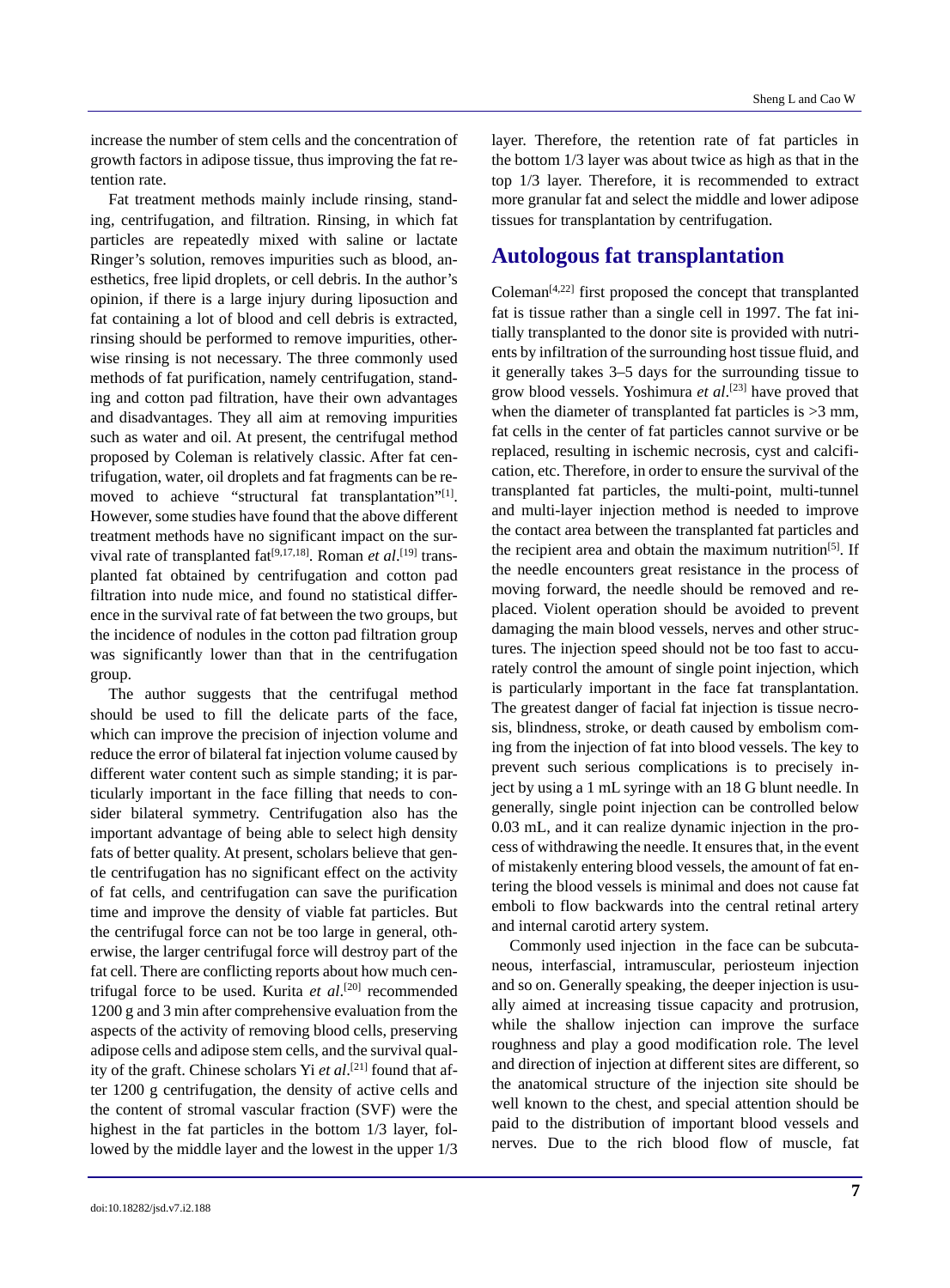increase the number of stem cells and the concentration of growth factors in adipose tissue, thus improving the fat retention rate.

Fat treatment methods mainly include rinsing, standing, centrifugation, and filtration. Rinsing, in which fat particles are repeatedly mixed with saline or lactate Ringer's solution, removes impurities such as blood, anesthetics, free lipid droplets, or cell debris. In the author's opinion, if there is a large injury during liposuction and fat containing a lot of blood and cell debris is extracted, rinsing should be performed to remove impurities, otherwise rinsing is not necessary. The three commonly used methods of fat purification, namely centrifugation, standing and cotton pad filtration, have their own advantages and disadvantages. They all aim at removing impurities such as water and oil. At present, the centrifugal method proposed by Coleman is relatively classic. After fat centrifugation, water, oil droplets and fat fragments can be removed to achieve "structural fat transplantation"[1]. However, some studies have found that the above different treatment methods have no significant impact on the survival rate of transplanted fat<sup>[9,17,18]</sup>. Roman *et al*.<sup>[19]</sup> transplanted fat obtained by centrifugation and cotton pad filtration into nude mice, and found no statistical difference in the survival rate of fat between the two groups, but the incidence of nodules in the cotton pad filtration group was significantly lower than that in the centrifugation group.

The author suggests that the centrifugal method should be used to fill the delicate parts of the face, which can improve the precision of injection volume and reduce the error of bilateral fat injection volume caused by different water content such as simple standing; it is particularly important in the face filling that needs to consider bilateral symmetry. Centrifugation also has the important advantage of being able to select high density fats of better quality. At present, scholars believe that gentle centrifugation has no significant effect on the activity of fat cells, and centrifugation can save the purification time and improve the density of viable fat particles. But the centrifugal force can not be too large in general, otherwise, the larger centrifugal force will destroy part of the fat cell. There are conflicting reports about how much centrifugal force to be used. Kurita *et al*. [20] recommended 1200 g and 3 min after comprehensive evaluation from the aspects of the activity of removing blood cells, preserving adipose cells and adipose stem cells, and the survival quality of the graft. Chinese scholars Yi *et al*. [21] found that after 1200 g centrifugation, the density of active cells and the content of stromal vascular fraction (SVF) were the highest in the fat particles in the bottom 1/3 layer, followed by the middle layer and the lowest in the upper 1/3

layer. Therefore, the retention rate of fat particles in the bottom 1/3 layer was about twice as high as that in the top 1/3 layer. Therefore, it is recommended to extract more granular fat and select the middle and lower adipose tissues for transplantation by centrifugation.

## **Autologous fat transplantation**

Coleman<sup> $[4,22]$ </sup> first proposed the concept that transplanted fat is tissue rather than a single cell in 1997. The fat initially transplanted to the donor site is provided with nutrients by infiltration of the surrounding host tissue fluid, and it generally takes 3–5 days for the surrounding tissue to grow blood vessels. Yoshimura *et al*. [23] have proved that when the diameter of transplanted fat particles is  $>3$  mm, fat cells in the center of fat particles cannot survive or be replaced, resulting in ischemic necrosis, cyst and calcification, etc. Therefore, in order to ensure the survival of the transplanted fat particles, the multi-point, multi-tunnel and multi-layer injection method is needed to improve the contact area between the transplanted fat particles and the recipient area and obtain the maximum nutrition<sup>[5]</sup>. If the needle encounters great resistance in the process of moving forward, the needle should be removed and replaced. Violent operation should be avoided to prevent damaging the main blood vessels, nerves and other structures. The injection speed should not be too fast to accurately control the amount of single point injection, which is particularly important in the face fat transplantation. The greatest danger of facial fat injection is tissue necrosis, blindness, stroke, or death caused by embolism coming from the injection of fat into blood vessels. The key to prevent such serious complications is to precisely inject by using a 1 mL syringe with an 18 G blunt needle. In generally, single point injection can be controlled below 0.03 mL, and it can realize dynamic injection in the process of withdrawing the needle. It ensures that, in the event of mistakenly entering blood vessels, the amount of fat entering the blood vessels is minimal and does not cause fat emboli to flow backwards into the central retinal artery and internal carotid artery system.

Commonly used injection in the face can be subcutaneous, interfascial, intramuscular, periosteum injection and so on. Generally speaking, the deeper injection is usually aimed at increasing tissue capacity and protrusion, while the shallow injection can improve the surface roughness and play a good modification role. The level and direction of injection at different sites are different, so the anatomical structure of the injection site should be well known to the chest, and special attention should be paid to the distribution of important blood vessels and nerves. Due to the rich blood flow of muscle, fat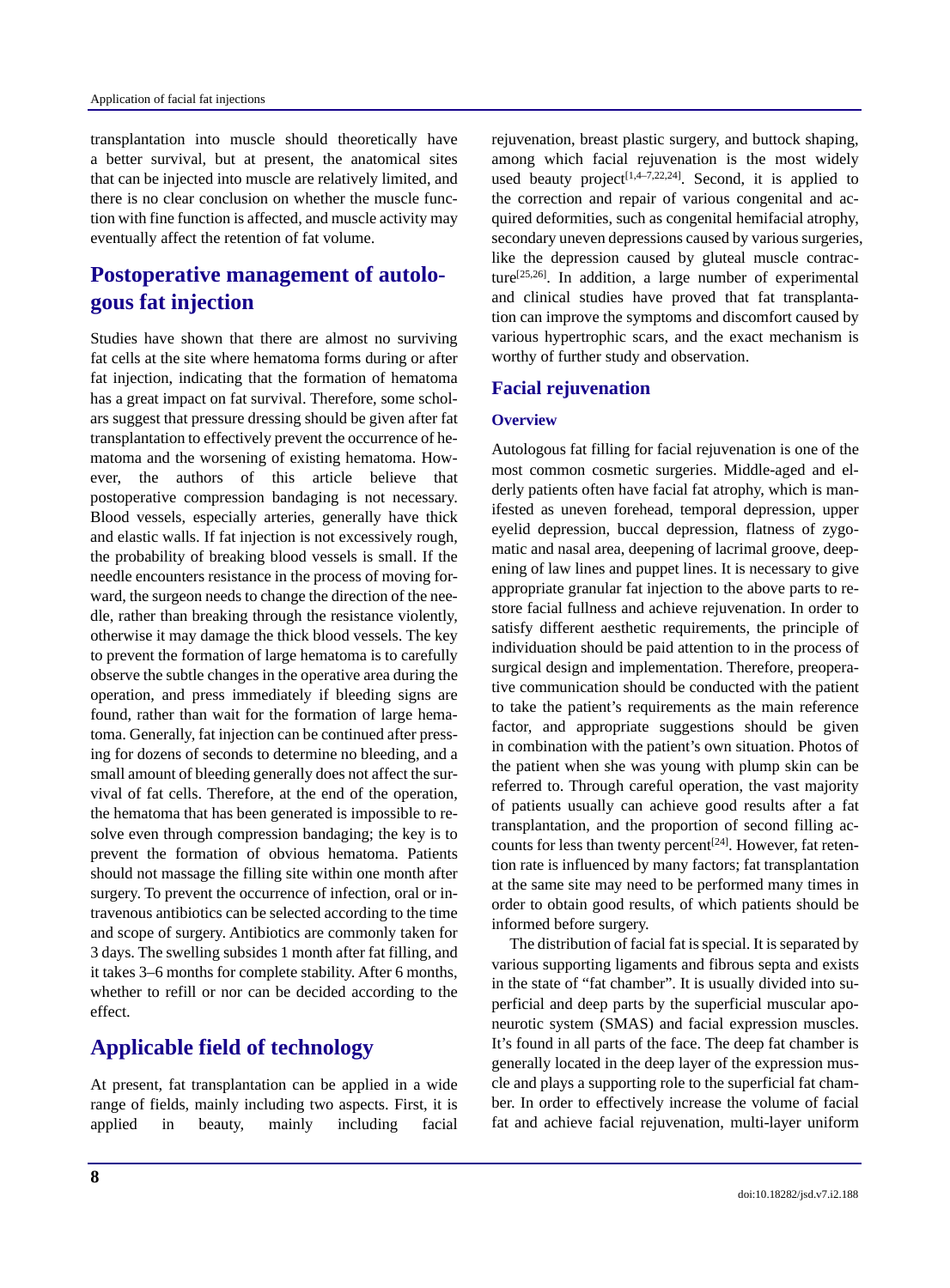transplantation into muscle should theoretically have a better survival, but at present, the anatomical sites that can be injected into muscle are relatively limited, and there is no clear conclusion on whether the muscle function with fine function is affected, and muscle activity may eventually affect the retention of fat volume.

# **Postoperative management of autologous fat injection**

Studies have shown that there are almost no surviving fat cells at the site where hematoma forms during or after fat injection, indicating that the formation of hematoma has a great impact on fat survival. Therefore, some scholars suggest that pressure dressing should be given after fat transplantation to effectively prevent the occurrence of hematoma and the worsening of existing hematoma. However, the authors of this article believe that postoperative compression bandaging is not necessary. Blood vessels, especially arteries, generally have thick and elastic walls. If fat injection is not excessively rough, the probability of breaking blood vessels is small. If the needle encounters resistance in the process of moving forward, the surgeon needs to change the direction of the needle, rather than breaking through the resistance violently, otherwise it may damage the thick blood vessels. The key to prevent the formation of large hematoma is to carefully observe the subtle changes in the operative area during the operation, and press immediately if bleeding signs are found, rather than wait for the formation of large hematoma. Generally, fat injection can be continued after pressing for dozens of seconds to determine no bleeding, and a small amount of bleeding generally does not affect the survival of fat cells. Therefore, at the end of the operation, the hematoma that has been generated is impossible to resolve even through compression bandaging; the key is to prevent the formation of obvious hematoma. Patients should not massage the filling site within one month after surgery. To prevent the occurrence of infection, oral or intravenous antibiotics can be selected according to the time and scope of surgery. Antibiotics are commonly taken for 3 days. The swelling subsides 1 month after fat filling, and it takes 3–6 months for complete stability. After 6 months, whether to refill or nor can be decided according to the effect.

## **Applicable field of technology**

At present, fat transplantation can be applied in a wide range of fields, mainly including two aspects. First, it is applied in beauty, mainly including facial rejuvenation, breast plastic surgery, and buttock shaping, among which facial rejuvenation is the most widely used beauty project<sup>[1,4–7,22,24]</sup>. Second, it is applied to the correction and repair of various congenital and acquired deformities, such as congenital hemifacial atrophy, secondary uneven depressions caused by various surgeries, like the depression caused by gluteal muscle contracture[25,26]. In addition, a large number of experimental and clinical studies have proved that fat transplantation can improve the symptoms and discomfort caused by various hypertrophic scars, and the exact mechanism is worthy of further study and observation.

## **Facial rejuvenation**

#### **Overview**

Autologous fat filling for facial rejuvenation is one of the most common cosmetic surgeries. Middle-aged and elderly patients often have facial fat atrophy, which is manifested as uneven forehead, temporal depression, upper eyelid depression, buccal depression, flatness of zygomatic and nasal area, deepening of lacrimal groove, deepening of law lines and puppet lines. It is necessary to give appropriate granular fat injection to the above parts to restore facial fullness and achieve rejuvenation. In order to satisfy different aesthetic requirements, the principle of individuation should be paid attention to in the process of surgical design and implementation. Therefore, preoperative communication should be conducted with the patient to take the patient's requirements as the main reference factor, and appropriate suggestions should be given in combination with the patient's own situation. Photos of the patient when she was young with plump skin can be referred to. Through careful operation, the vast majority of patients usually can achieve good results after a fat transplantation, and the proportion of second filling accounts for less than twenty percent<sup>[24]</sup>. However, fat retention rate is influenced by many factors; fat transplantation at the same site may need to be performed many times in order to obtain good results, of which patients should be informed before surgery.

The distribution of facial fat is special. It is separated by various supporting ligaments and fibrous septa and exists in the state of "fat chamber". It is usually divided into superficial and deep parts by the superficial muscular aponeurotic system (SMAS) and facial expression muscles. It's found in all parts of the face. The deep fat chamber is generally located in the deep layer of the expression muscle and plays a supporting role to the superficial fat chamber. In order to effectively increase the volume of facial fat and achieve facial rejuvenation, multi-layer uniform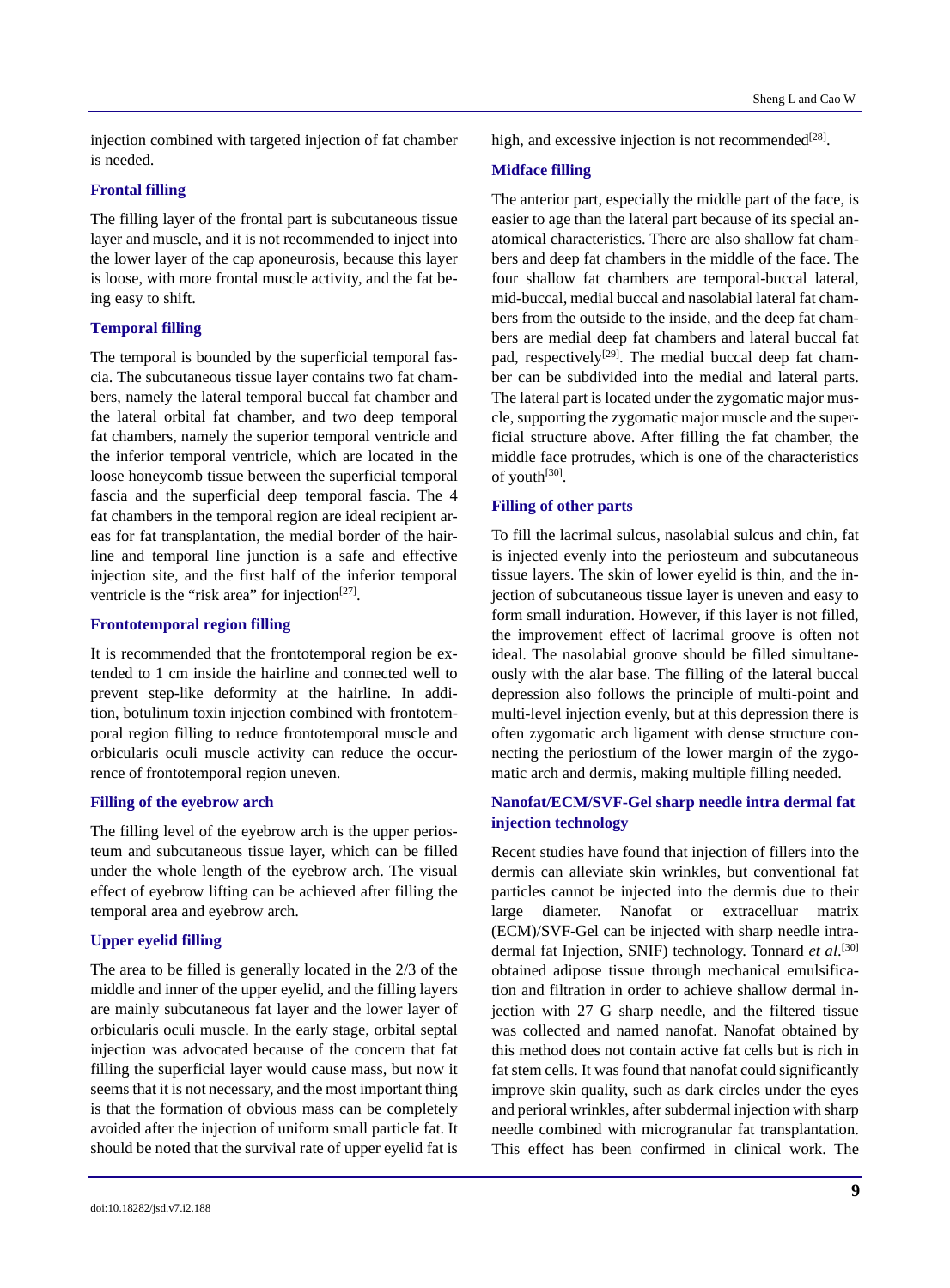injection combined with targeted injection of fat chamber is needed.

#### **Frontal filling**

The filling layer of the frontal part is subcutaneous tissue layer and muscle, and it is not recommended to inject into the lower layer of the cap aponeurosis, because this layer is loose, with more frontal muscle activity, and the fat being easy to shift.

### **Temporal filling**

The temporal is bounded by the superficial temporal fascia. The subcutaneous tissue layer contains two fat chambers, namely the lateral temporal buccal fat chamber and the lateral orbital fat chamber, and two deep temporal fat chambers, namely the superior temporal ventricle and the inferior temporal ventricle, which are located in the loose honeycomb tissue between the superficial temporal fascia and the superficial deep temporal fascia. The 4 fat chambers in the temporal region are ideal recipient areas for fat transplantation, the medial border of the hairline and temporal line junction is a safe and effective injection site, and the first half of the inferior temporal ventricle is the "risk area" for injection $[27]$ .

#### **Frontotemporal region filling**

It is recommended that the frontotemporal region be extended to 1 cm inside the hairline and connected well to prevent step-like deformity at the hairline. In addition, botulinum toxin injection combined with frontotemporal region filling to reduce frontotemporal muscle and orbicularis oculi muscle activity can reduce the occurrence of frontotemporal region uneven.

#### **Filling of the eyebrow arch**

The filling level of the eyebrow arch is the upper periosteum and subcutaneous tissue layer, which can be filled under the whole length of the eyebrow arch. The visual effect of eyebrow lifting can be achieved after filling the temporal area and eyebrow arch.

#### **Upper eyelid filling**

The area to be filled is generally located in the 2/3 of the middle and inner of the upper eyelid, and the filling layers are mainly subcutaneous fat layer and the lower layer of orbicularis oculi muscle. In the early stage, orbital septal injection was advocated because of the concern that fat filling the superficial layer would cause mass, but now it seems that it is not necessary, and the most important thing is that the formation of obvious mass can be completely avoided after the injection of uniform small particle fat. It should be noted that the survival rate of upper eyelid fat is high, and excessive injection is not recommended<sup>[28]</sup>.

#### **Midface filling**

The anterior part, especially the middle part of the face, is easier to age than the lateral part because of its special anatomical characteristics. There are also shallow fat chambers and deep fat chambers in the middle of the face. The four shallow fat chambers are temporal-buccal lateral, mid-buccal, medial buccal and nasolabial lateral fat chambers from the outside to the inside, and the deep fat chambers are medial deep fat chambers and lateral buccal fat pad, respectively<sup>[29]</sup>. The medial buccal deep fat chamber can be subdivided into the medial and lateral parts. The lateral part is located under the zygomatic major muscle, supporting the zygomatic major muscle and the superficial structure above. After filling the fat chamber, the middle face protrudes, which is one of the characteristics of youth[30].

#### **Filling of other parts**

To fill the lacrimal sulcus, nasolabial sulcus and chin, fat is injected evenly into the periosteum and subcutaneous tissue layers. The skin of lower eyelid is thin, and the injection of subcutaneous tissue layer is uneven and easy to form small induration. However, if this layer is not filled, the improvement effect of lacrimal groove is often not ideal. The nasolabial groove should be filled simultaneously with the alar base. The filling of the lateral buccal depression also follows the principle of multi-point and multi-level injection evenly, but at this depression there is often zygomatic arch ligament with dense structure connecting the periostium of the lower margin of the zygomatic arch and dermis, making multiple filling needed.

### **Nanofat/ECM/SVF-Gel sharp needle intra dermal fat injection technology**

Recent studies have found that injection of fillers into the dermis can alleviate skin wrinkles, but conventional fat particles cannot be injected into the dermis due to their large diameter. Nanofat or extracelluar matrix (ECM)/SVF-Gel can be injected with sharp needle intradermal fat Injection, SNIF) technology. Tonnard *et al*. [30] obtained adipose tissue through mechanical emulsification and filtration in order to achieve shallow dermal injection with 27 G sharp needle, and the filtered tissue was collected and named nanofat. Nanofat obtained by this method does not contain active fat cells but is rich in fat stem cells. It was found that nanofat could significantly improve skin quality, such as dark circles under the eyes and perioral wrinkles, after subdermal injection with sharp needle combined with microgranular fat transplantation. This effect has been confirmed in clinical work. The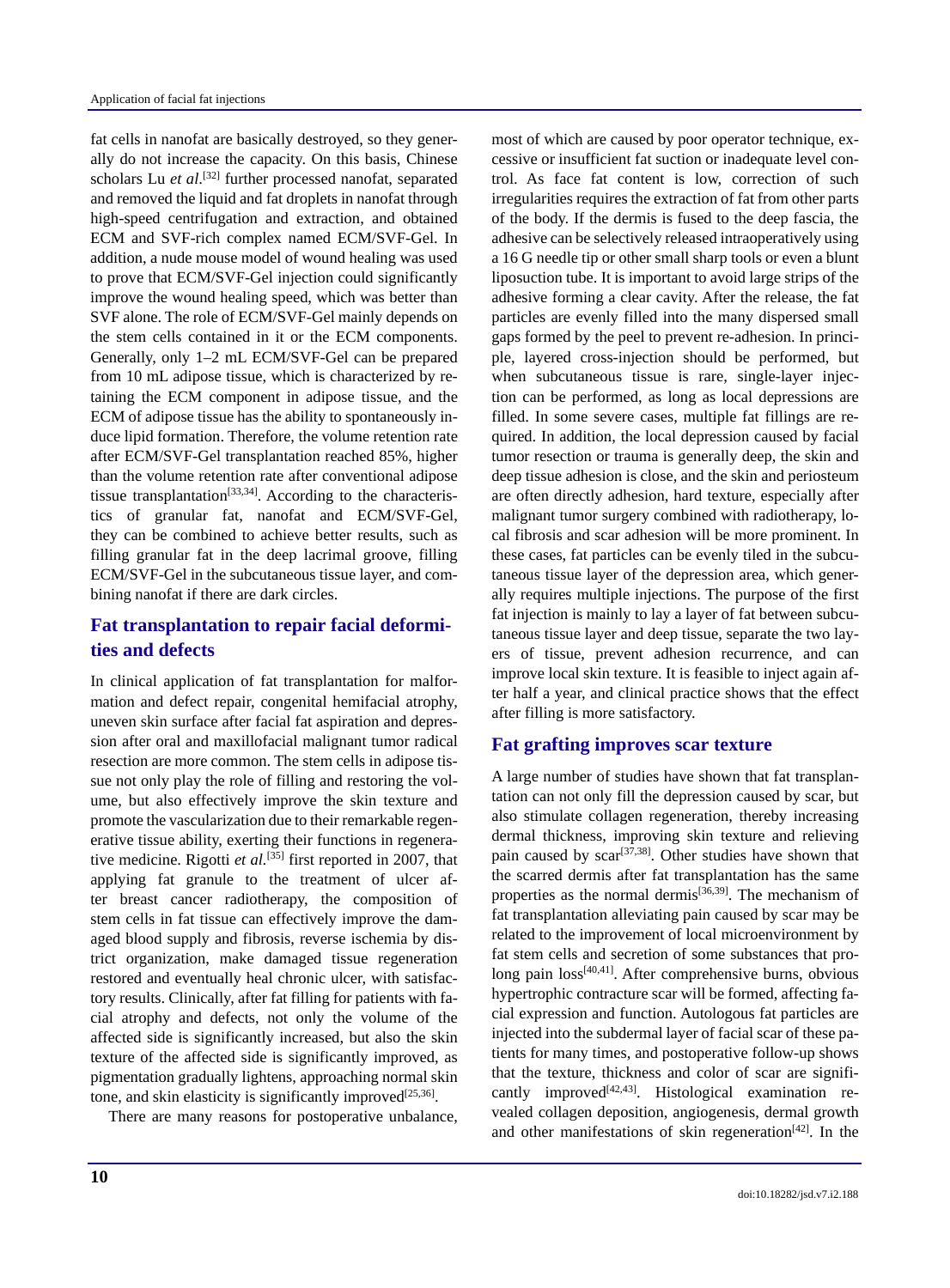fat cells in nanofat are basically destroyed, so they generally do not increase the capacity. On this basis, Chinese scholars Lu *et al*.<sup>[32]</sup> further processed nanofat, separated and removed the liquid and fat droplets in nanofat through high-speed centrifugation and extraction, and obtained ECM and SVF-rich complex named ECM/SVF-Gel. In addition, a nude mouse model of wound healing was used to prove that ECM/SVF-Gel injection could significantly improve the wound healing speed, which was better than SVF alone. The role of ECM/SVF-Gel mainly depends on the stem cells contained in it or the ECM components. Generally, only 1–2 mL ECM/SVF-Gel can be prepared from 10 mL adipose tissue, which is characterized by retaining the ECM component in adipose tissue, and the ECM of adipose tissue has the ability to spontaneously induce lipid formation. Therefore, the volume retention rate after ECM/SVF-Gel transplantation reached 85%, higher than the volume retention rate after conventional adipose tissue transplantation<sup>[33,34]</sup>. According to the characteristics of granular fat, nanofat and ECM/SVF-Gel, they can be combined to achieve better results, such as filling granular fat in the deep lacrimal groove, filling ECM/SVF-Gel in the subcutaneous tissue layer, and combining nanofat if there are dark circles.

## **Fat transplantation to repair facial deformities and defects**

In clinical application of fat transplantation for malformation and defect repair, congenital hemifacial atrophy, uneven skin surface after facial fat aspiration and depression after oral and maxillofacial malignant tumor radical resection are more common. The stem cells in adipose tissue not only play the role of filling and restoring the volume, but also effectively improve the skin texture and promote the vascularization due to their remarkable regenerative tissue ability, exerting their functions in regenerative medicine. Rigotti *et al.*<sup>[35]</sup> first reported in 2007, that applying fat granule to the treatment of ulcer after breast cancer radiotherapy, the composition of stem cells in fat tissue can effectively improve the damaged blood supply and fibrosis, reverse ischemia by district organization, make damaged tissue regeneration restored and eventually heal chronic ulcer, with satisfactory results. Clinically, after fat filling for patients with facial atrophy and defects, not only the volume of the affected side is significantly increased, but also the skin texture of the affected side is significantly improved, as pigmentation gradually lightens, approaching normal skin tone, and skin elasticity is significantly improved<sup>[25,36]</sup>.

There are many reasons for postoperative unbalance,

adhesive forming a clear cavity. After the release, the fat particles are evenly filled into the many dispersed small gaps formed by the peel to prevent re-adhesion. In principle, layered cross-injection should be performed, but when subcutaneous tissue is rare, single-layer injection can be performed, as long as local depressions are filled. In some severe cases, multiple fat fillings are required. In addition, the local depression caused by facial tumor resection or trauma is generally deep, the skin and deep tissue adhesion is close, and the skin and periosteum are often directly adhesion, hard texture, especially after malignant tumor surgery combined with radiotherapy, local fibrosis and scar adhesion will be more prominent. In these cases, fat particles can be evenly tiled in the subcutaneous tissue layer of the depression area, which generally requires multiple injections. The purpose of the first fat injection is mainly to lay a layer of fat between subcutaneous tissue layer and deep tissue, separate the two layers of tissue, prevent adhesion recurrence, and can improve local skin texture. It is feasible to inject again after half a year, and clinical practice shows that the effect after filling is more satisfactory. **Fat grafting improves scar texture**

most of which are caused by poor operator technique, excessive or insufficient fat suction or inadequate level control. As face fat content is low, correction of such irregularities requires the extraction of fat from other parts of the body. If the dermis is fused to the deep fascia, the adhesive can be selectively released intraoperatively using a 16 G needle tip or other small sharp tools or even a blunt liposuction tube. It is important to avoid large strips of the

A large number of studies have shown that fat transplantation can not only fill the depression caused by scar, but also stimulate collagen regeneration, thereby increasing dermal thickness, improving skin texture and relieving pain caused by  $scar^{[37,38]}$ . Other studies have shown that the scarred dermis after fat transplantation has the same properties as the normal dermis<sup>[36,39]</sup>. The mechanism of fat transplantation alleviating pain caused by scar may be related to the improvement of local microenvironment by fat stem cells and secretion of some substances that prolong pain loss[40,41]. After comprehensive burns, obvious hypertrophic contracture scar will be formed, affecting facial expression and function. Autologous fat particles are injected into the subdermal layer of facial scar of these patients for many times, and postoperative follow-up shows that the texture, thickness and color of scar are significantly improved<sup>[42,43]</sup>. Histological examination revealed collagen deposition, angiogenesis, dermal growth and other manifestations of skin regeneration<sup>[42]</sup>. In the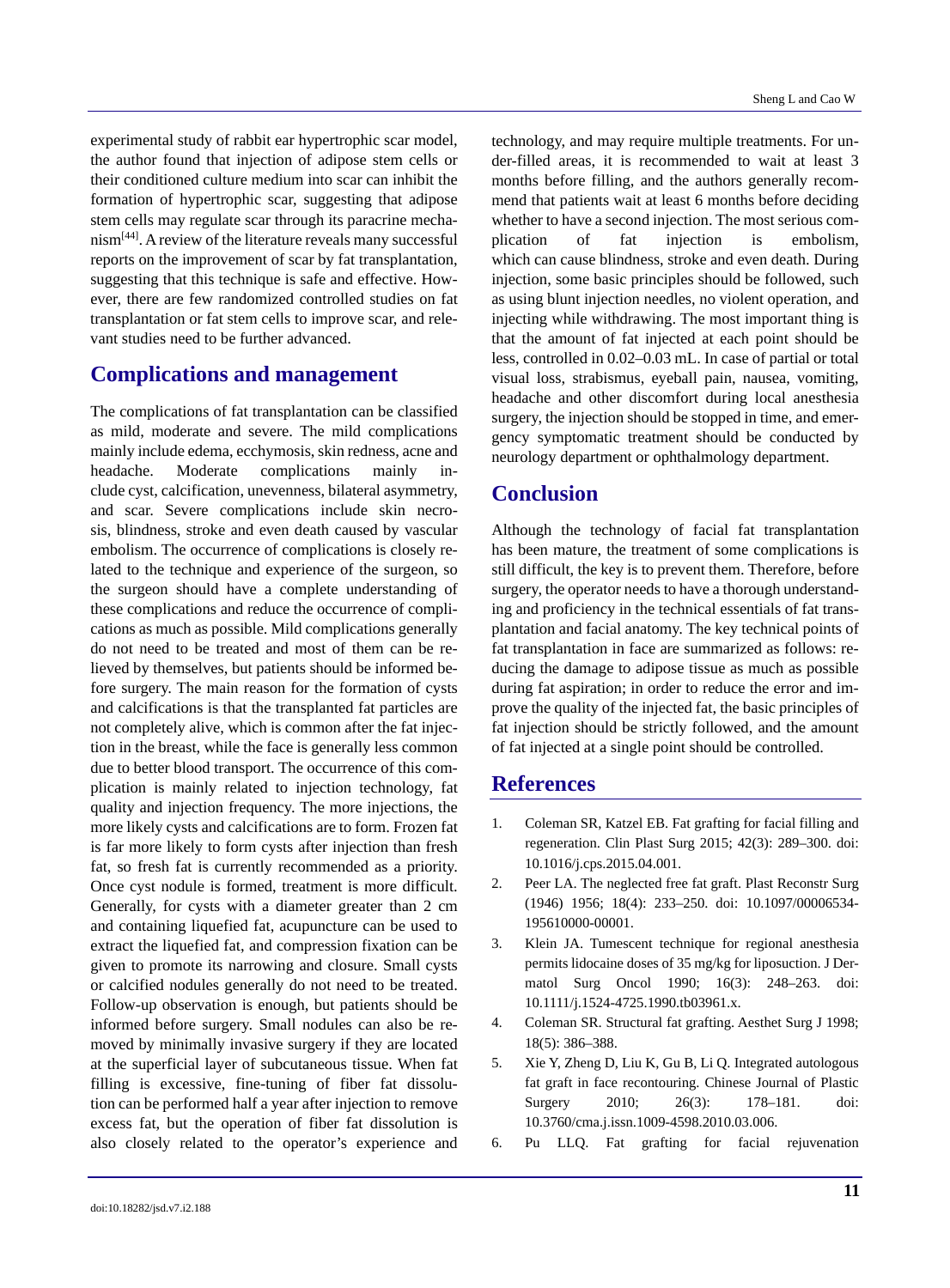experimental study of rabbit ear hypertrophic scar model, the author found that injection of adipose stem cells or their conditioned culture medium into scar can inhibit the formation of hypertrophic scar, suggesting that adipose stem cells may regulate scar through its paracrine mechanism[44]. A review of the literature reveals many successful reports on the improvement of scar by fat transplantation, suggesting that this technique is safe and effective. However, there are few randomized controlled studies on fat transplantation or fat stem cells to improve scar, and relevant studies need to be further advanced.

## **Complications and management**

The complications of fat transplantation can be classified as mild, moderate and severe. The mild complications mainly include edema, ecchymosis, skin redness, acne and headache. Moderate complications mainly include cyst, calcification, unevenness, bilateral asymmetry, and scar. Severe complications include skin necrosis, blindness, stroke and even death caused by vascular embolism. The occurrence of complications is closely related to the technique and experience of the surgeon, so the surgeon should have a complete understanding of these complications and reduce the occurrence of complications as much as possible. Mild complications generally do not need to be treated and most of them can be relieved by themselves, but patients should be informed before surgery. The main reason for the formation of cysts and calcifications is that the transplanted fat particles are not completely alive, which is common after the fat injection in the breast, while the face is generally less common due to better blood transport. The occurrence of this complication is mainly related to injection technology, fat quality and injection frequency. The more injections, the more likely cysts and calcifications are to form. Frozen fat is far more likely to form cysts after injection than fresh fat, so fresh fat is currently recommended as a priority. Once cyst nodule is formed, treatment is more difficult. Generally, for cysts with a diameter greater than 2 cm and containing liquefied fat, acupuncture can be used to extract the liquefied fat, and compression fixation can be given to promote its narrowing and closure. Small cysts or calcified nodules generally do not need to be treated. Follow-up observation is enough, but patients should be informed before surgery. Small nodules can also be removed by minimally invasive surgery if they are located at the superficial layer of subcutaneous tissue. When fat filling is excessive, fine-tuning of fiber fat dissolution can be performed half a year after injection to remove excess fat, but the operation of fiber fat dissolution is also closely related to the operator's experience and technology, and may require multiple treatments. For under-filled areas, it is recommended to wait at least 3 months before filling, and the authors generally recommend that patients wait at least 6 months before deciding whether to have a second injection. The most serious complication of fat injection is embolism, which can cause blindness, stroke and even death. During injection, some basic principles should be followed, such as using blunt injection needles, no violent operation, and injecting while withdrawing. The most important thing is that the amount of fat injected at each point should be less, controlled in 0.02–0.03 mL. In case of partial or total visual loss, strabismus, eyeball pain, nausea, vomiting, headache and other discomfort during local anesthesia surgery, the injection should be stopped in time, and emergency symptomatic treatment should be conducted by neurology department or ophthalmology department.

# **Conclusion**

Although the technology of facial fat transplantation has been mature, the treatment of some complications is still difficult, the key is to prevent them. Therefore, before surgery, the operator needs to have a thorough understanding and proficiency in the technical essentials of fat transplantation and facial anatomy. The key technical points of fat transplantation in face are summarized as follows: reducing the damage to adipose tissue as much as possible during fat aspiration; in order to reduce the error and improve the quality of the injected fat, the basic principles of fat injection should be strictly followed, and the amount of fat injected at a single point should be controlled.

## **References**

- 1. Coleman SR, Katzel EB. Fat grafting for facial filling and regeneration. Clin Plast Surg 2015; 42(3): 289–300. doi: 10.1016/j.cps.2015.04.001.
- 2. Peer LA. The neglected free fat graft. Plast Reconstr Surg (1946) 1956; 18(4): 233–250. doi: 10.1097/00006534- 195610000-00001.
- 3. Klein JA. Tumescent technique for regional anesthesia permits lidocaine doses of 35 mg/kg for liposuction. J Dermatol Surg Oncol 1990; 16(3): 248–263. doi: 10.1111/j.1524-4725.1990.tb03961.x.
- 4. Coleman SR. Structural fat grafting. Aesthet Surg J 1998; 18(5): 386–388.
- 5. Xie Y, Zheng D, Liu K, Gu B, Li Q. Integrated autologous fat graft in face recontouring. Chinese Journal of Plastic Surgery 2010; 26(3): 178–181. doi: 10.3760/cma.j.issn.1009-4598.2010.03.006.
- 6. Pu LLQ. Fat grafting for facial rejuvenation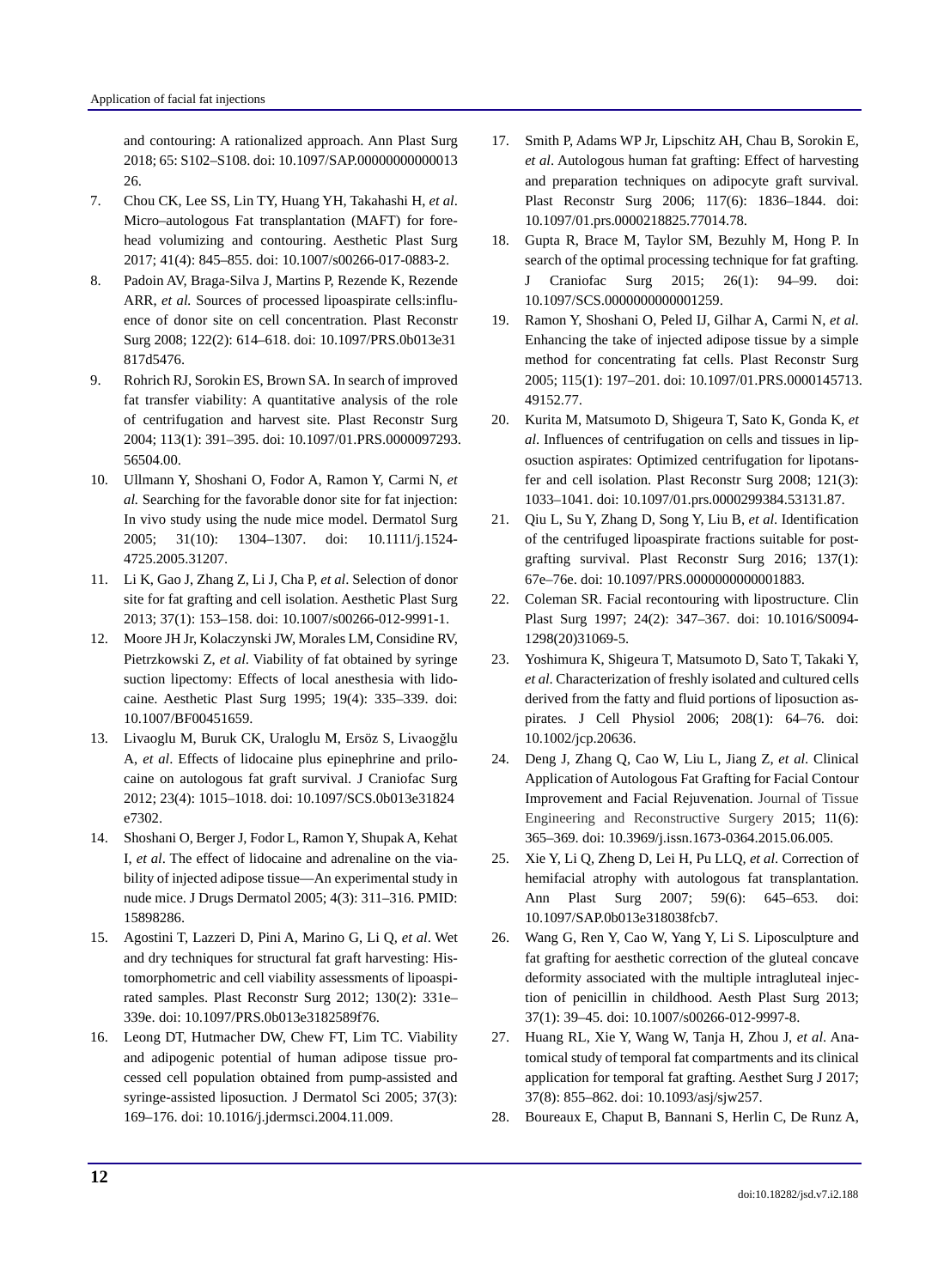and contouring: A rationalized approach. Ann Plast Surg 2018; 65: S102–S108. doi: 10.1097/SAP.00000000000013 26.

- 7. Chou CK, Lee SS, Lin TY, Huang YH, Takahashi H, *et al*. Micro–autologous Fat transplantation (MAFT) for forehead volumizing and contouring. Aesthetic Plast Surg 2017; 41(4): 845–855. doi: 10.1007/s00266-017-0883-2.
- 8. Padoin AV, Braga-Silva J, Martins P, Rezende K, Rezende ARR, *et al.* Sources of processed lipoaspirate cells:influence of donor site on cell concentration. Plast Reconstr Surg 2008; 122(2): 614–618. doi: 10.1097/PRS.0b013e31 817d5476.
- 9. Rohrich RJ, Sorokin ES, Brown SA. In search of improved fat transfer viability: A quantitative analysis of the role of centrifugation and harvest site. Plast Reconstr Surg 2004; 113(1): 391–395. doi: 10.1097/01.PRS.0000097293. 56504.00.
- 10. Ullmann Y, Shoshani O, Fodor A, Ramon Y, Carmi N, *et al.* Searching for the favorable donor site for fat injection: In vivo study using the nude mice model. Dermatol Surg 2005; 31(10): 1304–1307. doi: 10.1111/j.1524- 4725.2005.31207.
- 11. Li K, Gao J, Zhang Z, Li J, Cha P, *et al*. Selection of donor site for fat grafting and cell isolation. Aesthetic Plast Surg 2013; 37(1): 153–158. doi: 10.1007/s00266-012-9991-1.
- 12. Moore JH Jr, Kolaczynski JW, Morales LM, Considine RV, Pietrzkowski Z, *et al*. Viability of fat obtained by syringe suction lipectomy: Effects of local anesthesia with lidocaine. Aesthetic Plast Surg 1995; 19(4): 335–339. doi: 10.1007/BF00451659.
- 13. Livaoglu M, Buruk CK, Uraloglu M, Ersöz S, Livaogğlu A, *et al*. Effects of lidocaine plus epinephrine and prilocaine on autologous fat graft survival. J Craniofac Surg 2012; 23(4): 1015–1018. doi: 10.1097/SCS.0b013e31824 e7302.
- 14. Shoshani O, Berger J, Fodor L, Ramon Y, Shupak A, Kehat I, *et al*. The effect of lidocaine and adrenaline on the viability of injected adipose tissue—An experimental study in nude mice. J Drugs Dermatol 2005; 4(3): 311–316. PMID: 15898286.
- 15. Agostini T, Lazzeri D, Pini A, Marino G, Li Q, *et al*. Wet and dry techniques for structural fat graft harvesting: Histomorphometric and cell viability assessments of lipoaspirated samples. Plast Reconstr Surg 2012; 130(2): 331e– 339e. doi: 10.1097/PRS.0b013e3182589f76.
- 16. Leong DT, Hutmacher DW, Chew FT, Lim TC. Viability and adipogenic potential of human adipose tissue processed cell population obtained from pump-assisted and syringe-assisted liposuction. J Dermatol Sci 2005; 37(3): 169–176. doi: 10.1016/j.jdermsci.2004.11.009.
- 17. Smith P, Adams WP Jr, Lipschitz AH, Chau B, Sorokin E, *et al*. Autologous human fat grafting: Effect of harvesting and preparation techniques on adipocyte graft survival. Plast Reconstr Surg 2006; 117(6): 1836–1844. doi: 10.1097/01.prs.0000218825.77014.78.
- 18. Gupta R, Brace M, Taylor SM, Bezuhly M, Hong P. In search of the optimal processing technique for fat grafting. J Craniofac Surg 2015; 26(1): 94–99. doi: 10.1097/SCS.0000000000001259.
- 19. Ramon Y, Shoshani O, Peled IJ, Gilhar A, Carmi N, *et al*. Enhancing the take of injected adipose tissue by a simple method for concentrating fat cells. Plast Reconstr Surg 2005; 115(1): 197–201. doi: 10.1097/01.PRS.0000145713. 49152.77.
- 20. Kurita M, Matsumoto D, Shigeura T, Sato K, Gonda K, *et al*. Influences of centrifugation on cells and tissues in liposuction aspirates: Optimized centrifugation for lipotansfer and cell isolation. Plast Reconstr Surg 2008; 121(3): 1033–1041. doi: 10.1097/01.prs.0000299384.53131.87.
- 21. Qiu L, Su Y, Zhang D, Song Y, Liu B, *et al*. Identification of the centrifuged lipoaspirate fractions suitable for postgrafting survival. Plast Reconstr Surg 2016; 137(1): 67e–76e. doi: 10.1097/PRS.0000000000001883.
- 22. Coleman SR. Facial recontouring with lipostructure. Clin Plast Surg 1997; 24(2): 347–367. doi: 10.1016/S0094- 1298(20)31069-5.
- 23. Yoshimura K, Shigeura T, Matsumoto D, Sato T, Takaki Y, *et al*. Characterization of freshly isolated and cultured cells derived from the fatty and fluid portions of liposuction aspirates. J Cell Physiol 2006; 208(1): 64–76. doi: 10.1002/jcp.20636.
- 24. Deng J, Zhang Q, Cao W, Liu L, Jiang Z, *et al*. Clinical Application of Autologous Fat Grafting for Facial Contour Improvement and Facial Rejuvenation. Journal of Tissue Engineering and Reconstructive Surgery 2015; 11(6): 365–369. doi: 10.3969/j.issn.1673-0364.2015.06.005.
- 25. Xie Y, Li Q, Zheng D, Lei H, Pu LLQ, *et al*. Correction of hemifacial atrophy with autologous fat transplantation. Ann Plast Surg 2007; 59(6): 645–653. doi: 10.1097/SAP.0b013e318038fcb7.
- 26. Wang G, Ren Y, Cao W, Yang Y, Li S. Liposculpture and fat grafting for aesthetic correction of the gluteal concave deformity associated with the multiple intragluteal injection of penicillin in childhood. Aesth Plast Surg 2013; 37(1): 39–45. doi: 10.1007/s00266-012-9997-8.
- 27. Huang RL, Xie Y, Wang W, Tanja H, Zhou J, *et al*. Anatomical study of temporal fat compartments and its clinical application for temporal fat grafting. Aesthet Surg J 2017; 37(8): 855–862. doi: 10.1093/asj/sjw257.
- 28. Boureaux E, Chaput B, Bannani S, Herlin C, De Runz A,